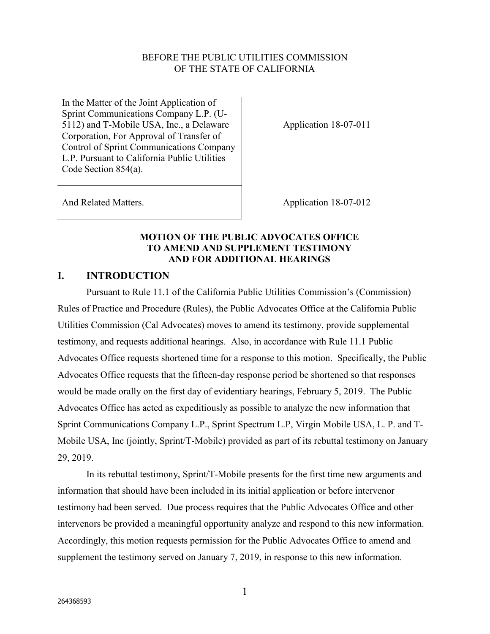#### BEFORE THE PUBLIC UTILITIES COMMISSION OF THE STATE OF CALIFORNIA

In the Matter of the Joint Application of Sprint Communications Company L.P. (U-5112) and T-Mobile USA, Inc., a Delaware Corporation, For Approval of Transfer of Control of Sprint Communications Company L.P. Pursuant to California Public Utilities Code Section 854(a).

Application 18-07-011

And Related Matters. Application 18-07-012

#### **MOTION OF THE PUBLIC ADVOCATES OFFICE TO AMEND AND SUPPLEMENT TESTIMONY AND FOR ADDITIONAL HEARINGS**

## **I. INTRODUCTION**

Pursuant to Rule 11.1 of the California Public Utilities Commission's (Commission) Rules of Practice and Procedure (Rules), the Public Advocates Office at the California Public Utilities Commission (Cal Advocates) moves to amend its testimony, provide supplemental testimony, and requests additional hearings. Also, in accordance with Rule 11.1 Public Advocates Office requests shortened time for a response to this motion. Specifically, the Public Advocates Office requests that the fifteen-day response period be shortened so that responses would be made orally on the first day of evidentiary hearings, February 5, 2019. The Public Advocates Office has acted as expeditiously as possible to analyze the new information that Sprint Communications Company L.P., Sprint Spectrum L.P, Virgin Mobile USA, L. P. and T-Mobile USA, Inc (jointly, Sprint/T-Mobile) provided as part of its rebuttal testimony on January 29, 2019.

In its rebuttal testimony, Sprint/T-Mobile presents for the first time new arguments and information that should have been included in its initial application or before intervenor testimony had been served. Due process requires that the Public Advocates Office and other intervenors be provided a meaningful opportunity analyze and respond to this new information. Accordingly, this motion requests permission for the Public Advocates Office to amend and supplement the testimony served on January 7, 2019, in response to this new information.

1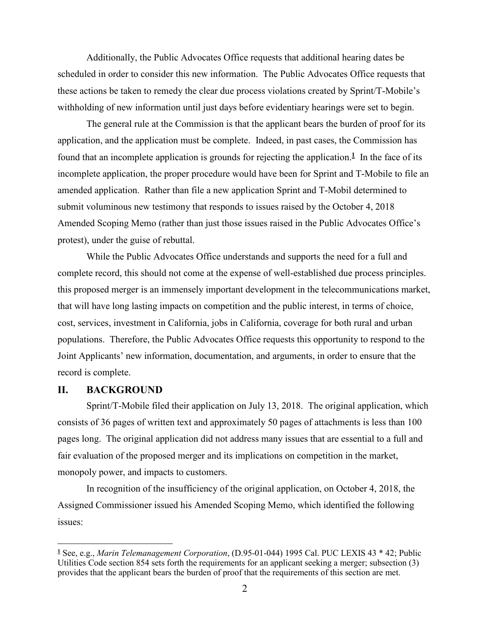Additionally, the Public Advocates Office requests that additional hearing dates be scheduled in order to consider this new information. The Public Advocates Office requests that these actions be taken to remedy the clear due process violations created by Sprint/T-Mobile's withholding of new information until just days before evidentiary hearings were set to begin.

The general rule at the Commission is that the applicant bears the burden of proof for its application, and the application must be complete. Indeed, in past cases, the Commission has found that an incomplete application is grounds for rejecting the application.<sup>1</sup> In the face of its incomplete application, the proper procedure would have been for Sprint and T-Mobile to file an amended application. Rather than file a new application Sprint and T-Mobil determined to submit voluminous new testimony that responds to issues raised by the October 4, 2018 Amended Scoping Memo (rather than just those issues raised in the Public Advocates Office's protest), under the guise of rebuttal.

While the Public Advocates Office understands and supports the need for a full and complete record, this should not come at the expense of well-established due process principles. this proposed merger is an immensely important development in the telecommunications market, that will have long lasting impacts on competition and the public interest, in terms of choice, cost, services, investment in California, jobs in California, coverage for both rural and urban populations. Therefore, the Public Advocates Office requests this opportunity to respond to the Joint Applicants' new information, documentation, and arguments, in order to ensure that the record is complete.

#### **II. BACKGROUND**

Sprint/T-Mobile filed their application on July 13, 2018. The original application, which consists of 36 pages of written text and approximately 50 pages of attachments is less than 100 pages long. The original application did not address many issues that are essential to a full and fair evaluation of the proposed merger and its implications on competition in the market, monopoly power, and impacts to customers.

In recognition of the insufficiency of the original application, on October 4, 2018, the Assigned Commissioner issued his Amended Scoping Memo, which identified the following issues:

 **1** See, e.g., *Marin Telemanagement Corporation*, (D.95-01-044) 1995 Cal. PUC LEXIS 43 \* 42; Public Utilities Code section 854 sets forth the requirements for an applicant seeking a merger; subsection (3) provides that the applicant bears the burden of proof that the requirements of this section are met.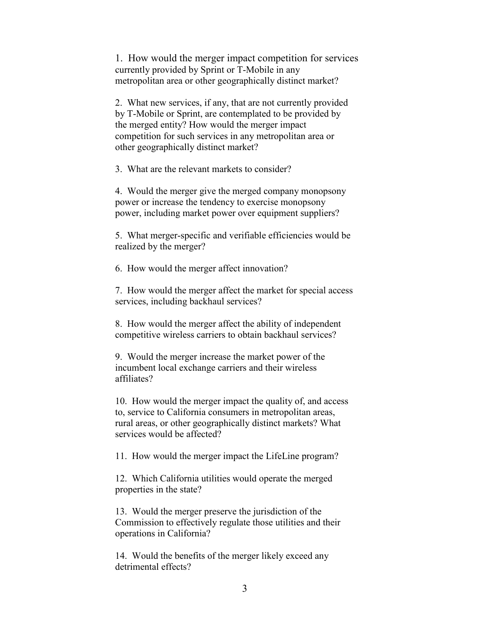1. How would the merger impact competition for services currently provided by Sprint or T-Mobile in any metropolitan area or other geographically distinct market?

2. What new services, if any, that are not currently provided by T-Mobile or Sprint, are contemplated to be provided by the merged entity? How would the merger impact competition for such services in any metropolitan area or other geographically distinct market?

3. What are the relevant markets to consider?

4. Would the merger give the merged company monopsony power or increase the tendency to exercise monopsony power, including market power over equipment suppliers?

5. What merger-specific and verifiable efficiencies would be realized by the merger?

6. How would the merger affect innovation?

7. How would the merger affect the market for special access services, including backhaul services?

8. How would the merger affect the ability of independent competitive wireless carriers to obtain backhaul services?

9. Would the merger increase the market power of the incumbent local exchange carriers and their wireless affiliates?

10. How would the merger impact the quality of, and access to, service to California consumers in metropolitan areas, rural areas, or other geographically distinct markets? What services would be affected?

11. How would the merger impact the LifeLine program?

12. Which California utilities would operate the merged properties in the state?

13. Would the merger preserve the jurisdiction of the Commission to effectively regulate those utilities and their operations in California?

14. Would the benefits of the merger likely exceed any detrimental effects?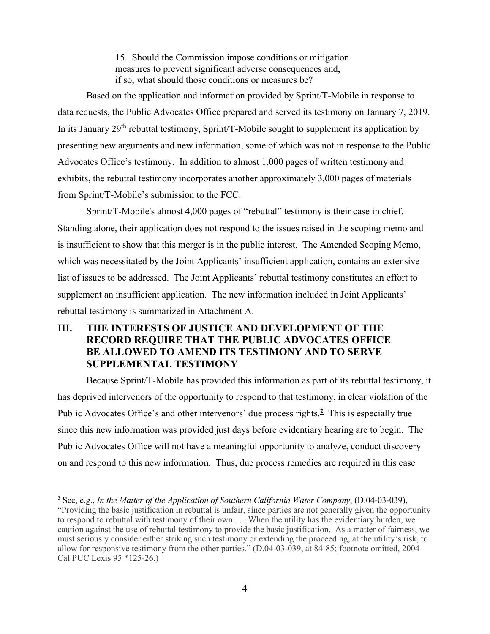15. Should the Commission impose conditions or mitigation measures to prevent significant adverse consequences and, if so, what should those conditions or measures be?

Based on the application and information provided by Sprint/T-Mobile in response to data requests, the Public Advocates Office prepared and served its testimony on January 7, 2019. In its January 29<sup>th</sup> rebuttal testimony, Sprint/T-Mobile sought to supplement its application by presenting new arguments and new information, some of which was not in response to the Public Advocates Office's testimony. In addition to almost 1,000 pages of written testimony and exhibits, the rebuttal testimony incorporates another approximately 3,000 pages of materials from Sprint/T-Mobile's submission to the FCC.

Sprint/T-Mobile's almost 4,000 pages of "rebuttal" testimony is their case in chief. Standing alone, their application does not respond to the issues raised in the scoping memo and is insufficient to show that this merger is in the public interest. The Amended Scoping Memo, which was necessitated by the Joint Applicants' insufficient application, contains an extensive list of issues to be addressed. The Joint Applicants' rebuttal testimony constitutes an effort to supplement an insufficient application. The new information included in Joint Applicants' rebuttal testimony is summarized in Attachment A.

## **III. THE INTERESTS OF JUSTICE AND DEVELOPMENT OF THE RECORD REQUIRE THAT THE PUBLIC ADVOCATES OFFICE BE ALLOWED TO AMEND ITS TESTIMONY AND TO SERVE SUPPLEMENTAL TESTIMONY**

Because Sprint/T-Mobile has provided this information as part of its rebuttal testimony, it has deprived intervenors of the opportunity to respond to that testimony, in clear violation of the Public Advocates Office's and other intervenors' due process rights.**<sup>2</sup>** This is especially true since this new information was provided just days before evidentiary hearing are to begin. The Public Advocates Office will not have a meaningful opportunity to analyze, conduct discovery on and respond to this new information. Thus, due process remedies are required in this case

<sup>-</sup>**2** See, e.g., *In the Matter of the Application of Southern California Water Company*, (D.04-03-039), "Providing the basic justification in rebuttal is unfair, since parties are not generally given the opportunity to respond to rebuttal with testimony of their own . . . When the utility has the evidentiary burden, we caution against the use of rebuttal testimony to provide the basic justification. As a matter of fairness, we must seriously consider either striking such testimony or extending the proceeding, at the utility's risk, to allow for responsive testimony from the other parties." (D.04-03-039, at 84-85; footnote omitted, 2004 Cal PUC Lexis 95 \*125-26.)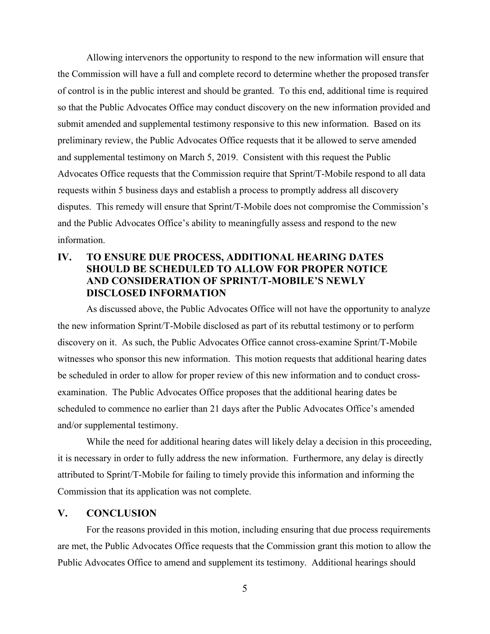Allowing intervenors the opportunity to respond to the new information will ensure that the Commission will have a full and complete record to determine whether the proposed transfer of control is in the public interest and should be granted. To this end, additional time is required so that the Public Advocates Office may conduct discovery on the new information provided and submit amended and supplemental testimony responsive to this new information. Based on its preliminary review, the Public Advocates Office requests that it be allowed to serve amended and supplemental testimony on March 5, 2019. Consistent with this request the Public Advocates Office requests that the Commission require that Sprint/T-Mobile respond to all data requests within 5 business days and establish a process to promptly address all discovery disputes. This remedy will ensure that Sprint/T-Mobile does not compromise the Commission's and the Public Advocates Office's ability to meaningfully assess and respond to the new information.

## **IV. TO ENSURE DUE PROCESS, ADDITIONAL HEARING DATES SHOULD BE SCHEDULED TO ALLOW FOR PROPER NOTICE AND CONSIDERATION OF SPRINT/T-MOBILE'S NEWLY DISCLOSED INFORMATION**

As discussed above, the Public Advocates Office will not have the opportunity to analyze the new information Sprint/T-Mobile disclosed as part of its rebuttal testimony or to perform discovery on it. As such, the Public Advocates Office cannot cross-examine Sprint/T-Mobile witnesses who sponsor this new information. This motion requests that additional hearing dates be scheduled in order to allow for proper review of this new information and to conduct crossexamination. The Public Advocates Office proposes that the additional hearing dates be scheduled to commence no earlier than 21 days after the Public Advocates Office's amended and/or supplemental testimony.

While the need for additional hearing dates will likely delay a decision in this proceeding, it is necessary in order to fully address the new information. Furthermore, any delay is directly attributed to Sprint/T-Mobile for failing to timely provide this information and informing the Commission that its application was not complete.

## **V. CONCLUSION**

For the reasons provided in this motion, including ensuring that due process requirements are met, the Public Advocates Office requests that the Commission grant this motion to allow the Public Advocates Office to amend and supplement its testimony. Additional hearings should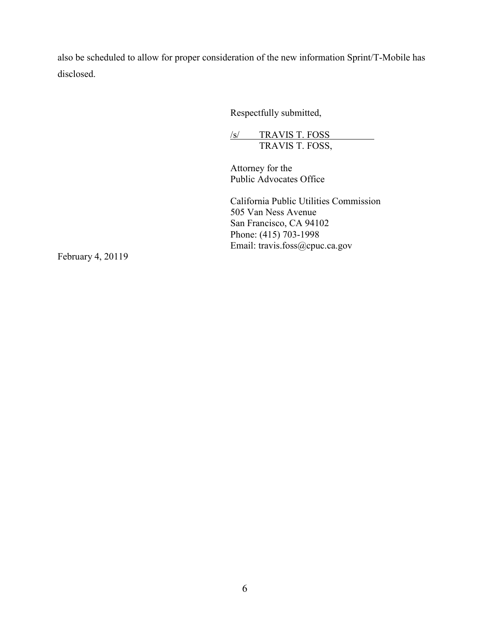also be scheduled to allow for proper consideration of the new information Sprint/T-Mobile has disclosed.

Respectfully submitted,

/s/ TRAVIS T. FOSS TRAVIS T. FOSS,

Attorney for the Public Advocates Office

California Public Utilities Commission 505 Van Ness Avenue San Francisco, CA 94102 Phone: (415) 703-1998 Email: travis.foss@cpuc.ca.gov

February 4, 20119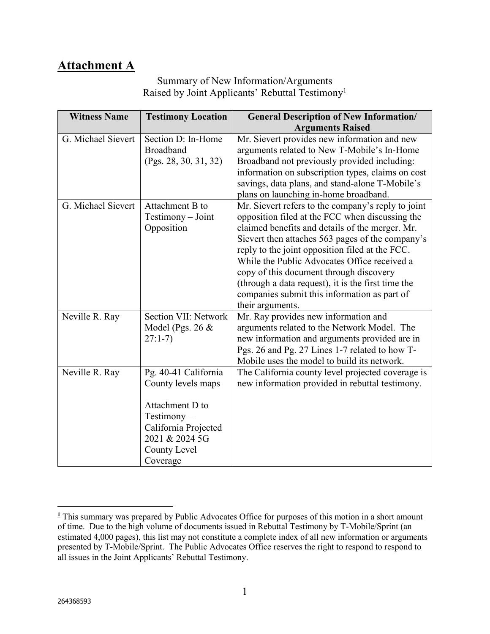# **Attachment A**

## Summary of New Information/Arguments Raised by Joint Applicants' Rebuttal Testimony<sup>1</sup>

| <b>Witness Name</b> | <b>Testimony Location</b>                                                                                                                            | <b>General Description of New Information/</b>                                                                                                                                                                                                                                                                                                                                                                                                                                       |
|---------------------|------------------------------------------------------------------------------------------------------------------------------------------------------|--------------------------------------------------------------------------------------------------------------------------------------------------------------------------------------------------------------------------------------------------------------------------------------------------------------------------------------------------------------------------------------------------------------------------------------------------------------------------------------|
|                     |                                                                                                                                                      | <b>Arguments Raised</b>                                                                                                                                                                                                                                                                                                                                                                                                                                                              |
| G. Michael Sievert  | Section D: In-Home<br><b>Broadband</b><br>(Pgs. 28, 30, 31, 32)                                                                                      | Mr. Sievert provides new information and new<br>arguments related to New T-Mobile's In-Home<br>Broadband not previously provided including:<br>information on subscription types, claims on cost<br>savings, data plans, and stand-alone T-Mobile's<br>plans on launching in-home broadband.                                                                                                                                                                                         |
| G. Michael Sievert  | Attachment B to<br>Testimony - Joint<br>Opposition                                                                                                   | Mr. Sievert refers to the company's reply to joint<br>opposition filed at the FCC when discussing the<br>claimed benefits and details of the merger. Mr.<br>Sievert then attaches 563 pages of the company's<br>reply to the joint opposition filed at the FCC.<br>While the Public Advocates Office received a<br>copy of this document through discovery<br>(through a data request), it is the first time the<br>companies submit this information as part of<br>their arguments. |
| Neville R. Ray      | Section VII: Network<br>Model (Pgs. 26 $&$<br>$27:1-7$                                                                                               | Mr. Ray provides new information and<br>arguments related to the Network Model. The<br>new information and arguments provided are in<br>Pgs. 26 and Pg. 27 Lines 1-7 related to how T-<br>Mobile uses the model to build its network.                                                                                                                                                                                                                                                |
| Neville R. Ray      | Pg. 40-41 California<br>County levels maps<br>Attachment D to<br>$Testimony -$<br>California Projected<br>2021 & 2024 5G<br>County Level<br>Coverage | The California county level projected coverage is<br>new information provided in rebuttal testimony.                                                                                                                                                                                                                                                                                                                                                                                 |

<sup>-</sup>**1** This summary was prepared by Public Advocates Office for purposes of this motion in a short amount of time. Due to the high volume of documents issued in Rebuttal Testimony by T-Mobile/Sprint (an estimated 4,000 pages), this list may not constitute a complete index of all new information or arguments presented by T-Mobile/Sprint. The Public Advocates Office reserves the right to respond to respond to all issues in the Joint Applicants' Rebuttal Testimony.